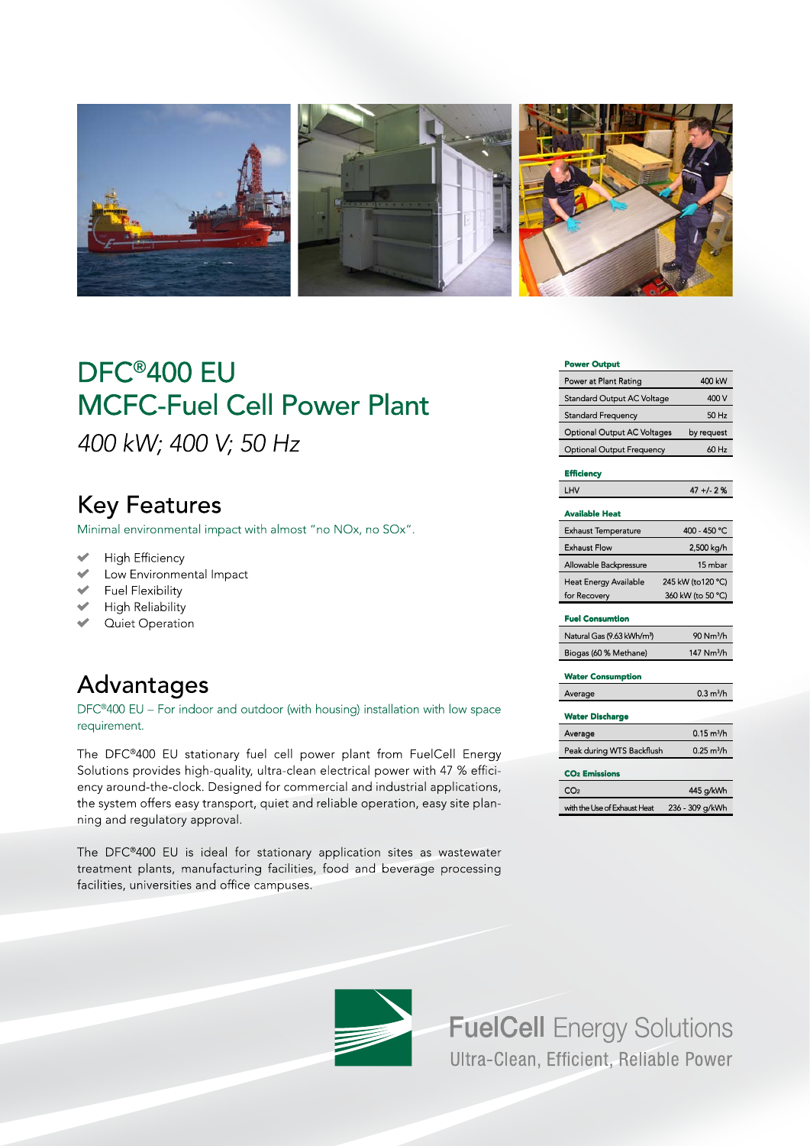

# DFC®400 EU **MCFC-Fuel Cell Power Plant** 400 kW; 400 V; 50 Hz

## **Key Features**

Minimal environmental impact with almost "no NOx, no SOx".

- $\overline{\mathscr{C}}$ **High Efficiency**
- $\overline{\mathscr{L}}$ Low Environmental Impact
- Fuel Flexibility
- High Reliability
- ← Quiet Operation

# Advantages

DFC®400 EU - For indoor and outdoor (with housing) installation with low space requirement.

The DFC®400 EU stationary fuel cell power plant from FuelCell Energy Solutions provides high-quality, ultra-clean electrical power with 47 % efficiency around-the-clock. Designed for commercial and industrial applications, the system offers easy transport, quiet and reliable operation, easy site planning and regulatory approval.

The DFC®400 EU is ideal for stationary application sites as wastewater treatment plants, manufacturing facilities, food and beverage processing facilities, universities and office campuses.

#### **Power Output**

| Power at Plant Rating             | 400 kW     |
|-----------------------------------|------------|
| <b>Standard Output AC Voltage</b> | 400 V      |
| <b>Standard Frequency</b>         | $50$ Hz    |
| Optional Output AC Voltages       | by request |
| <b>Optional Output Frequency</b>  | 60 Hz      |

### Efficiency

 $\overline{\phantom{a}}$ 

| HV. | $47 + 2%$ |
|-----|-----------|
|     |           |

| <b>Available Heat</b>        |                   |
|------------------------------|-------------------|
| <b>Exhaust Temperature</b>   | 400 - 450 °C      |
| <b>Exhaust Flow</b>          | 2,500 kg/h        |
| Allowable Backpressure       | 15 mbar           |
| <b>Heat Energy Available</b> | 245 kW (to120 °C) |
| for Recovery                 | 360 kW (to 50 °C) |
|                              |                   |

### **Fuel Consumtion**

| Natural Gas (9.63 kWh/m <sup>3</sup> ) | $90$ Nm <sup>3</sup> /h |
|----------------------------------------|-------------------------|
| Biogas (60 % Methane)                  | 147 $Nm^3/h$            |

### **Water Consumption**

| Average                   | 0.3 m <sup>3</sup> /h |
|---------------------------|-----------------------|
| <b>Water Discharge</b>    |                       |
| Average                   | $0.15 \text{ m}^3$ /h |
| Peak during WTS Backflush | $0.25 \text{ m}^3$ /h |

| <b>CO<sub>2</sub></b> Emissions |                 |
|---------------------------------|-----------------|
| CO <sub>2</sub>                 | 445 a/kWh       |
| with the Use of Exhaust Heat    | 236 - 309 a/kWh |